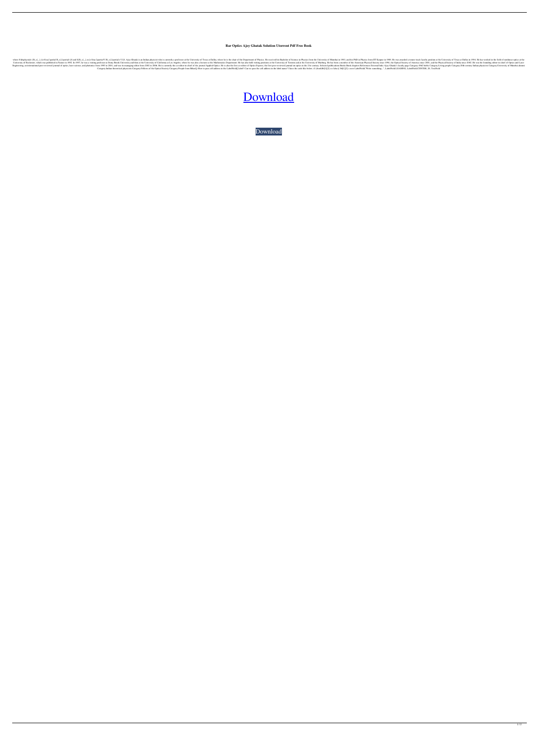## **Rar Optics Ajoy Ghatak Solution Utorrent Pdf Free Book**

where \$\displaystyle {B\_x}\_{,t}=\frac{\partial B\_x}{\partial t}\$ and \${B\_x}\_{,xx}=\frac{\partial^2 B\_x}{\partial x^2}\$. Ajoy Ghatak is an Indian physicist who is currently a professor at the University of Texas at Dallas, where he is the chair of the Department of Physics. He received his Bachelor of Science in Physics from the University of Mumbai in 1983, and his PhD in Physics from IIT Kanpur in 1988. He was awarded a tenure-track faculty position at the University of Texas at Dallas in 1994. He has worked in the field of nonlinear optics at the 1992. In 1992. In 1992. In 1992. In 1992. In 1992. In 1992. In 1992. In 1992. In 1992. In 1992. In 1992. In 1992. In 1992. In 1992. In the University of California at Los Angeles, where he Was also a lecture at the Univers namaging editor from 2002 to 2001, and was its managing editor from 2002 to 2001, and was its managing editor from 2002 to 2006. He is currently the co-editor-in-chief of the journal on optics in the 21st century. Selected Category:Indian theoretical physicists Category:Fellows of the Optical Society Category:People from BiharQ: How to pass cell address in the LabelField[] label? Can we pass the coll address in the label name? I have the cod

## [Download](http://evacdir.com/firsthome.b3B0aWNzIGFqb3kgZ2hhdGFrIGZyZWUgc29sdXRpb24gcGRmb3B.ZG93bmxvYWR8OE55ZG1Gd2ZId3hOalV5TnpRd09EWTJmSHd5TlRjMGZId29UU2tnY21WaFpDMWliRzluSUZ0R1lYTjBJRWRGVGww/apposite.vagaries/netcen)

[Download](http://evacdir.com/firsthome.b3B0aWNzIGFqb3kgZ2hhdGFrIGZyZWUgc29sdXRpb24gcGRmb3B.ZG93bmxvYWR8OE55ZG1Gd2ZId3hOalV5TnpRd09EWTJmSHd5TlRjMGZId29UU2tnY21WaFpDMWliRzluSUZ0R1lYTjBJRWRGVGww/apposite.vagaries/netcen)